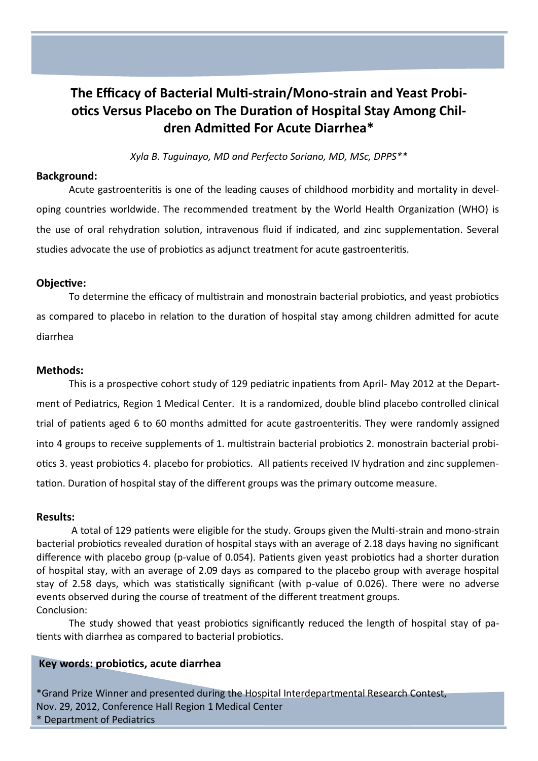# **The Efficacy of Bacterial Multi-strain/Mono-strain and Yeast Probiotics Versus Placebo on The Duration of Hospital Stay Among Children Admitted For Acute Diarrhea\***

*Xyla B. Tuguinayo, MD and Perfecto Soriano, MD, MSc, DPPS\*\**

### **Background:**

Acute gastroenteritis is one of the leading causes of childhood morbidity and mortality in developing countries worldwide. The recommended treatment by the World Health Organization (WHO) is the use of oral rehydration solution, intravenous fluid if indicated, and zinc supplementation. Several studies advocate the use of probiotics as adjunct treatment for acute gastroenteritis.

#### **Objective:**

To determine the efficacy of multistrain and monostrain bacterial probiotics, and yeast probiotics as compared to placebo in relation to the duration of hospital stay among children admitted for acute diarrhea

# **Methods:**

This is a prospective cohort study of 129 pediatric inpatients from April- May 2012 at the Department of Pediatrics, Region 1 Medical Center. It is a randomized, double blind placebo controlled clinical trial of patients aged 6 to 60 months admitted for acute gastroenteritis. They were randomly assigned into 4 groups to receive supplements of 1. multistrain bacterial probiotics 2. monostrain bacterial probiotics 3. yeast probiotics 4. placebo for probiotics. All patients received IV hydration and zinc supplementation. Duration of hospital stay of the different groups was the primary outcome measure.

#### **Results:**

A total of 129 patients were eligible for the study. Groups given the Multi-strain and mono-strain bacterial probiotics revealed duration of hospital stays with an average of 2.18 days having no significant difference with placebo group (p-value of 0.054). Patients given yeast probiotics had a shorter duration of hospital stay, with an average of 2.09 days as compared to the placebo group with average hospital stay of 2.58 days, which was statistically significant (with p-value of 0.026). There were no adverse events observed during the course of treatment of the different treatment groups. Conclusion:

The study showed that yeast probiotics significantly reduced the length of hospital stay of patients with diarrhea as compared to bacterial probiotics.

# **Key words: probiotics, acute diarrhea**

\*Grand Prize Winner and presented during the Hospital Interdepartmental Research Contest, Nov. 29, 2012, Conference Hall Region 1 Medical Center \* Department of Pediatrics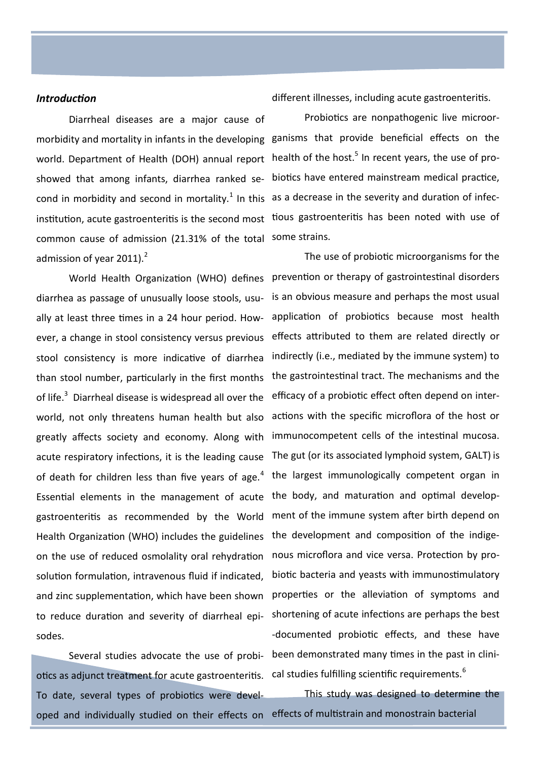#### *Introduction*

Diarrheal diseases are a major cause of morbidity and mortality in infants in the developing ganisms that provide beneficial effects on the world. Department of Health (DOH) annual report health of the host.<sup>5</sup> In recent years, the use of proshowed that among infants, diarrhea ranked se-biotics have entered mainstream medical practice, cond in morbidity and second in mortality.<sup>1</sup> In this as a decrease in the severity and duration of infecinstitution, acute gastroenteritis is the second most tious gastroenteritis has been noted with use of common cause of admission (21.31% of the total some strains. admission of year 2011). $2$ 

of life.<sup>3</sup> Diarrheal disease is widespread all over the efficacy of a probiotic effect often depend on inter-Essential elements in the management of acute the body, and maturation and optimal developgastroenteritis as recommended by the World Health Organization (WHO) includes the guidelines the development and composition of the indigeon the use of reduced osmolality oral rehydration solution formulation, intravenous fluid if indicated, and zinc supplementation, which have been shown to reduce duration and severity of diarrheal episodes.

otics as adjunct treatment for acute gastroenteritis.  $\,$  cal studies fulfilling scientific requirements. $^6$ To date, several types of probiotics were developed and individually studied on their effects on effects of multistrain and monostrain bacterial

different illnesses, including acute gastroenteritis.

Probiotics are nonpathogenic live microor-

World Health Organization (WHO) defines prevention or therapy of gastrointestinal disorders diarrhea as passage of unusually loose stools, usu-is an obvious measure and perhaps the most usual ally at least three times in a 24 hour period. How- application of probiotics because most health ever, a change in stool consistency versus previous effects attributed to them are related directly or stool consistency is more indicative of diarrhea indirectly (i.e., mediated by the immune system) to than stool number, particularly in the first months the gastrointestinal tract. The mechanisms and the world, not only threatens human health but also actions with the specific microflora of the host or greatly affects society and economy. Along with immunocompetent cells of the intestinal mucosa. acute respiratory infections, it is the leading cause The gut (or its associated lymphoid system, GALT) is of death for children less than five years of age.<sup>4</sup> the largest immunologically competent organ in Several studies advocate the use of probi- been demonstrated many times in the past in clini-The use of probiotic microorganisms for the ment of the immune system after birth depend on nous microflora and vice versa. Protection by probiotic bacteria and yeasts with immunostimulatory properties or the alleviation of symptoms and shortening of acute infections are perhaps the best -documented probiotic effects, and these have

This study was designed to determine the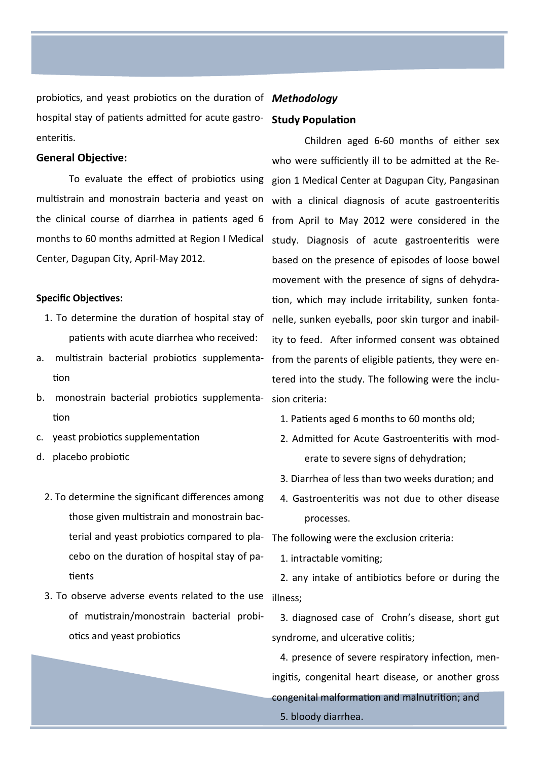probiotics, and yeast probiotics on the duration of *Methodology* hospital stay of patients admitted for acute gastroenteritis.

#### **General Objective:**

To evaluate the effect of probiotics using multistrain and monostrain bacteria and yeast on the clinical course of diarrhea in patients aged 6 months to 60 months admitted at Region I Medical Center, Dagupan City, April-May 2012.

#### **Specific Objectives:**

- 1. To determine the duration of hospital stay of patients with acute diarrhea who received:
- a. multistrain bacterial probiotics supplementation
- b. monostrain bacterial probiotics supplementation
- c. yeast probiotics supplementation
- d. placebo probiotic
	- 2. To determine the significant differences among those given multistrain and monostrain bacterial and yeast probiotics compared to pla-The following were the exclusion criteria: cebo on the duration of hospital stay of patients
	- 3. To observe adverse events related to the use illness; of mutistrain/monostrain bacterial probiotics and yeast probiotics

# **Study Population**

Children aged 6-60 months of either sex who were sufficiently ill to be admitted at the Region 1 Medical Center at Dagupan City, Pangasinan with a clinical diagnosis of acute gastroenteritis from April to May 2012 were considered in the study. Diagnosis of acute gastroenteritis were based on the presence of episodes of loose bowel movement with the presence of signs of dehydration, which may include irritability, sunken fontanelle, sunken eyeballs, poor skin turgor and inability to feed. After informed consent was obtained from the parents of eligible patients, they were entered into the study. The following were the inclusion criteria:

- 1. Patients aged 6 months to 60 months old;
- 2. Admitted for Acute Gastroenteritis with moderate to severe signs of dehydration;
- 3. Diarrhea of less than two weeks duration; and
- 4. Gastroenteritis was not due to other disease processes.

1. intractable vomiting;

2. any intake of antibiotics before or during the

3. diagnosed case of Crohn's disease, short gut syndrome, and ulcerative colitis;

4. presence of severe respiratory infection, meningitis, congenital heart disease, or another gross congenital malformation and malnutrition; and 5. bloody diarrhea.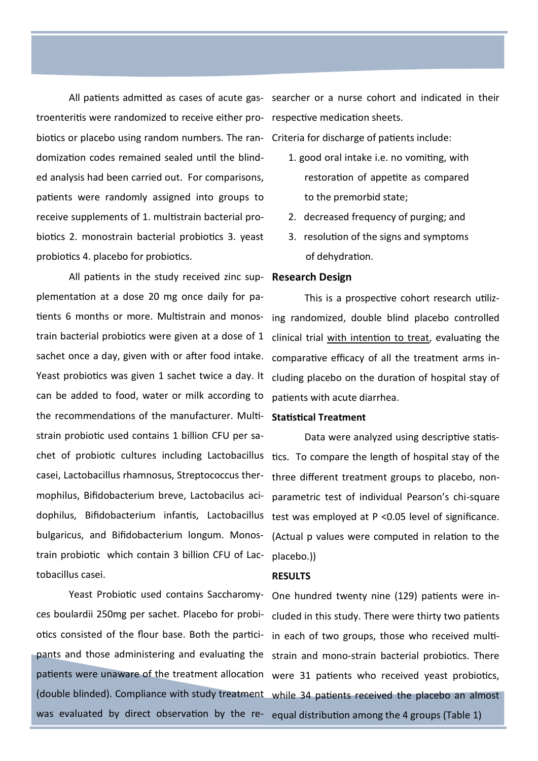troenteritis were randomized to receive either pro-respective medication sheets. biotics or placebo using random numbers. The ran-Criteria for discharge of patients include: domization codes remained sealed until the blinded analysis had been carried out. For comparisons, patients were randomly assigned into groups to receive supplements of 1. multistrain bacterial probiotics 2. monostrain bacterial probiotics 3. yeast probiotics 4. placebo for probiotics.

All patients in the study received zinc sup-**Research Design** plementation at a dose 20 mg once daily for patients 6 months or more. Multistrain and monos-ing randomized, double blind placebo controlled train bacterial probiotics were given at a dose of 1 sachet once a day, given with or after food intake. Yeast probiotics was given 1 sachet twice a day. It can be added to food, water or milk according to the recommendations of the manufacturer. Multistrain probiotic used contains 1 billion CFU per sachet of probiotic cultures including Lactobacillus tics. To compare the length of hospital stay of the casei, Lactobacillus rhamnosus, Streptococcus thermophilus, Bifidobacterium breve, Lactobacilus acidophilus, Bifidobacterium infantis, Lactobacillus test was employed at P <0.05 level of significance. bulgaricus, and Bifidobacterium longum. Monostrain probiotic which contain 3 billion CFU of Lactobacillus casei.

Yeast Probiotic used contains Saccharomyces boulardii 250mg per sachet. Placebo for probiotics consisted of the flour base. Both the partici-in each of two groups, those who received multi-

All patients admitted as cases of acute gas-searcher or a nurse cohort and indicated in their

- 1. good oral intake i.e. no vomiting, with restoration of appetite as compared to the premorbid state;
- 2. decreased frequency of purging; and
- 3. resolution of the signs and symptoms of dehydration.

This is a prospective cohort research utilizclinical trial with intention to treat, evaluating the comparative efficacy of all the treatment arms including placebo on the duration of hospital stay of patients with acute diarrhea.

#### **Statistical Treatment**

Data were analyzed using descriptive statisthree different treatment groups to placebo, nonparametric test of individual Pearson's chi-square (Actual p values were computed in relation to the placebo.))

#### **RESULTS**

pants and those administering and evaluating the strain and mono-strain bacterial probiotics. There patients were unaware of the treatment allocation were 31 patients who received yeast probiotics, (double blinded). Compliance with study treatment while 34 patients received the placebo an almost was evaluated by direct observation by the re-equal distribution among the 4 groups (Table 1)One hundred twenty nine (129) patients were included in this study. There were thirty two patients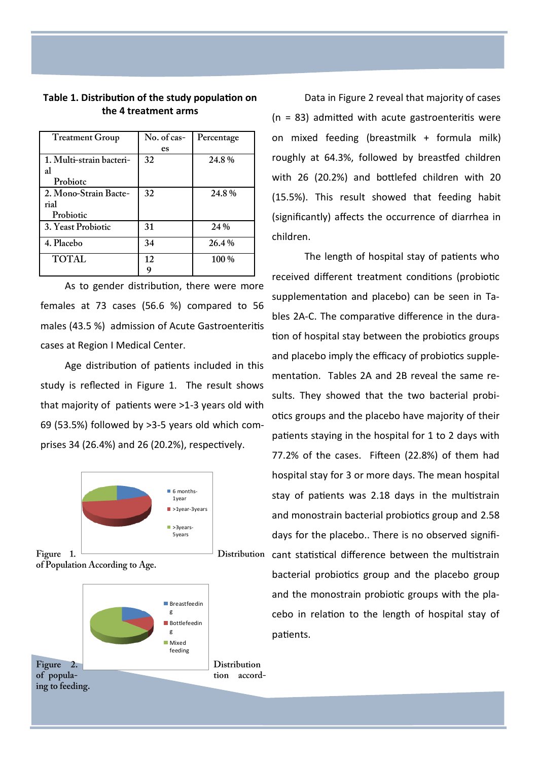| Table 1. Distribution of the study population on |  |
|--------------------------------------------------|--|
| the 4 treatment arms                             |  |

| <b>Treatment Group</b>   | No. of cas- | Percentage |
|--------------------------|-------------|------------|
|                          | es          |            |
| 1. Multi-strain bacteri- | 32          | 24.8%      |
| al                       |             |            |
| Probiotc                 |             |            |
| 2. Mono-Strain Bacte-    | 32          | 24.8%      |
| rial                     |             |            |
| Probiotic                |             |            |
| 3. Yeast Probiotic       | 31          | 24 %       |
| 4. Placebo               | 34          | 26.4 %     |
| <b>TOTAL</b>             | 12          | 100 %      |
|                          |             |            |

As to gender distribution, there were more females at 73 cases (56.6 %) compared to 56 males (43.5 %) admission of Acute Gastroenteritis cases at Region I Medical Center.

Age distribution of patients included in this study is reflected in Figure 1. The result shows that majority of patients were >1-3 years old with 69 (53.5%) followed by >3-5 years old which comprises 34 (26.4%) and 26 (20.2%), respectively.





Data in Figure 2 reveal that majority of cases  $(n = 83)$  admitted with acute gastroenteritis were on mixed feeding (breastmilk + formula milk) roughly at 64.3%, followed by breastfed children with 26 (20.2%) and bottlefed children with 20 (15.5%). This result showed that feeding habit (significantly) affects the occurrence of diarrhea in children.

The length of hospital stay of patients who received different treatment conditions (probiotic supplementation and placebo) can be seen in Tables 2A-C. The comparative difference in the duration of hospital stay between the probiotics groups and placebo imply the efficacy of probiotics supplementation. Tables 2A and 2B reveal the same results. They showed that the two bacterial probiotics groups and the placebo have majority of their patients staying in the hospital for 1 to 2 days with 77.2% of the cases. Fifteen (22.8%) of them had hospital stay for 3 or more days. The mean hospital stay of patients was 2.18 days in the multistrain and monostrain bacterial probiotics group and 2.58 days for the placebo.. There is no observed significant statistical difference between the multistrain bacterial probiotics group and the placebo group and the monostrain probiotic groups with the placebo in relation to the length of hospital stay of patients.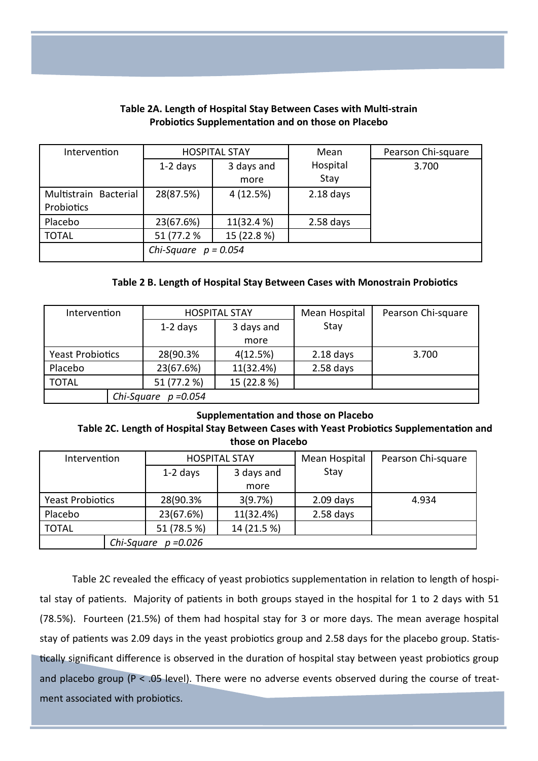| Intervention          | <b>HOSPITAL STAY</b>   |             | Mean        | Pearson Chi-square |
|-----------------------|------------------------|-------------|-------------|--------------------|
|                       | $1-2$ days             | 3 days and  | Hospital    | 3.700              |
|                       |                        | more        | Stay        |                    |
| Multistrain Bacterial | 28(87.5%)              | 4(12.5%)    | $2.18$ days |                    |
| Probiotics            |                        |             |             |                    |
| Placebo               | 23(67.6%)              | 11(32.4 %)  | $2.58$ days |                    |
| <b>TOTAL</b>          | 51 (77.2 %             | 15 (22.8 %) |             |                    |
|                       | Chi-Square $p = 0.054$ |             |             |                    |

# **Table 2A. Length of Hospital Stay Between Cases with Multi-strain Probiotics Supplementation and on those on Placebo**

# **Table 2 B. Length of Hospital Stay Between Cases with Monostrain Probiotics**

| Intervention            | <b>HOSPITAL STAY</b>   |             | Mean Hospital | Pearson Chi-square |
|-------------------------|------------------------|-------------|---------------|--------------------|
|                         | $1-2$ days             | 3 days and  | Stay          |                    |
|                         |                        | more        |               |                    |
| <b>Yeast Probiotics</b> | 28(90.3%               | 4(12.5%)    | $2.18$ days   | 3.700              |
| Placebo                 | 23(67.6%)              | 11(32.4%)   | $2.58$ days   |                    |
| <b>TOTAL</b>            | 51 (77.2 %)            | 15 (22.8 %) |               |                    |
|                         | Chi-Square $p = 0.054$ |             |               |                    |

## **Supplementation and those on Placebo**

# **Table 2C. Length of Hospital Stay Between Cases with Yeast Probiotics Supplementation and those on Placebo**

| Intervention              |             |  | <b>HOSPITAL STAY</b> |             | Pearson Chi-square |
|---------------------------|-------------|--|----------------------|-------------|--------------------|
|                           | $1-2$ days  |  | 3 days and           | Stay        |                    |
|                           |             |  | more                 |             |                    |
| <b>Yeast Probiotics</b>   | 28(90.3%    |  | 3(9.7%)              | $2.09$ days | 4.934              |
| Placebo                   | 23(67.6%)   |  | 11(32.4%)            | $2.58$ days |                    |
| <b>TOTAL</b>              | 51 (78.5 %) |  | 14 (21.5 %)          |             |                    |
| Chi-Square<br>$p = 0.026$ |             |  |                      |             |                    |

Table 2C revealed the efficacy of yeast probiotics supplementation in relation to length of hospital stay of patients. Majority of patients in both groups stayed in the hospital for 1 to 2 days with 51 (78.5%). Fourteen (21.5%) of them had hospital stay for 3 or more days. The mean average hospital stay of patients was 2.09 days in the yeast probiotics group and 2.58 days for the placebo group. Statistically significant difference is observed in the duration of hospital stay between yeast probiotics group and placebo group ( $P < .05$  level). There were no adverse events observed during the course of treatment associated with probiotics.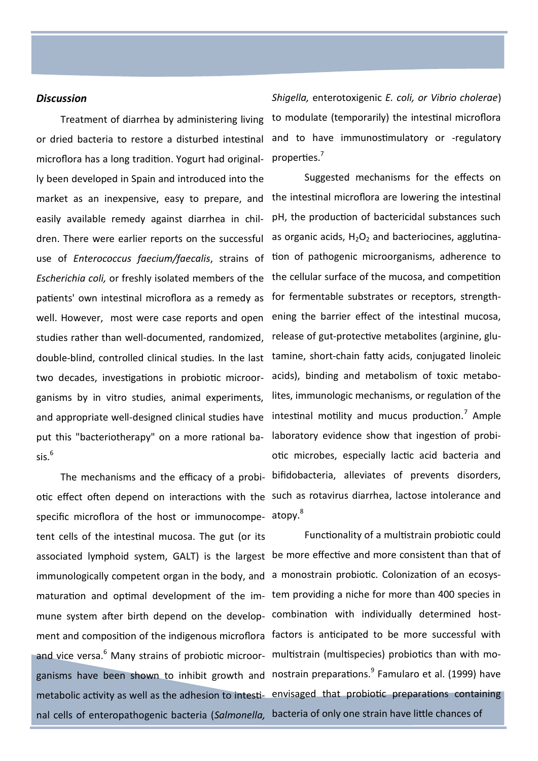#### *Discussion*

Treatment of diarrhea by administering living or dried bacteria to restore a disturbed intestinal microflora has a long tradition. Yogurt had originally been developed in Spain and introduced into the market as an inexpensive, easy to prepare, and easily available remedy against diarrhea in children. There were earlier reports on the successful well. However, most were case reports and open studies rather than well-documented, randomized, two decades, investigations in probiotic microorganisms by in vitro studies, animal experiments, and appropriate well-designed clinical studies have put this "bacteriotherapy" on a more rational ba $s$ is. $6$ 

specific microflora of the host or immunocompe- atopy.<sup>8</sup> tent cells of the intestinal mucosa. The gut (or its associated lymphoid system, GALT) is the largest be more effective and more consistent than that of immunologically competent organ in the body, and a monostrain probiotic. Colonization of an ecosysmaturation and optimal development of the im-tem providing a niche for more than 400 species in mune system after birth depend on the develop-combination with individually determined hostment and composition of the indigenous microflora factors is anticipated to be more successful with and vice versa.<sup>6</sup> Many strains of probiotic microor- multistrain (multispecies) probiotics than with moganisms have been shown to inhibit growth and nostrain preparations.<sup>9</sup> Famularo et al. (1999) have metabolic activity as well as the adhesion to intesti- envisaged that probiotic preparations containing nal cells of enteropathogenic bacteria (*Salmonella,*  bacteria of only one strain have little chances of

*Shigella,* enterotoxigenic *E. coli, or Vibrio cholerae*) to modulate (temporarily) the intestinal microflora and to have immunostimulatory or -regulatory properties.<sup>7</sup>

use of *Enterococcus faecium/faecalis*, strains of tion of pathogenic microorganisms, adherence to Escherichia coli, or freshly isolated members of the the cellular surface of the mucosa, and competition patients' own intestinal microflora as a remedy as for fermentable substrates or receptors, strengthdouble-blind, controlled clinical studies. In the last tamine, short-chain fatty acids, conjugated linoleic The mechanisms and the efficacy of a probi-bifidobacteria, alleviates of prevents disorders, otic effect often depend on interactions with the such as rotavirus diarrhea, lactose intolerance and Suggested mechanisms for the effects on the intestinal microflora are lowering the intestinal pH, the production of bactericidal substances such as organic acids,  $H_2O_2$  and bacteriocines, agglutinaening the barrier effect of the intestinal mucosa, release of gut-protective metabolites (arginine, gluacids), binding and metabolism of toxic metabolites, immunologic mechanisms, or regulation of the intestinal motility and mucus production. $^7$  Ample laboratory evidence show that ingestion of probiotic microbes, especially lactic acid bacteria and

Functionality of a multistrain probiotic could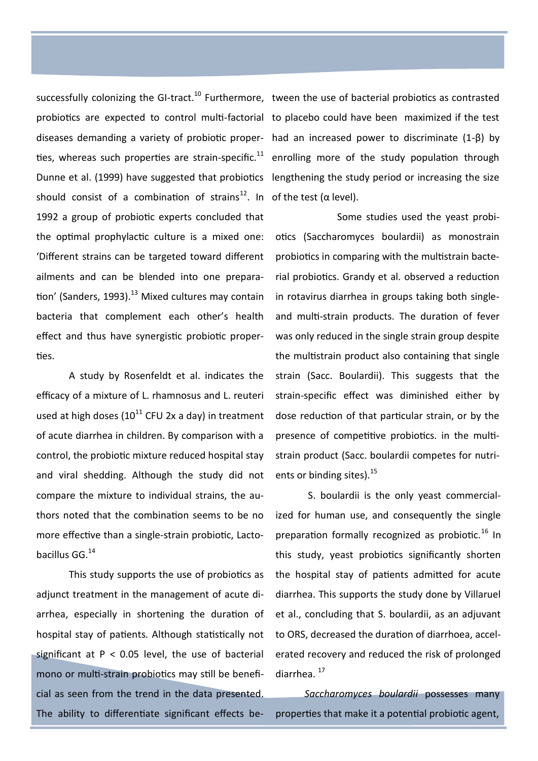successfully colonizing the GI-tract.<sup>10</sup> Furthermore, tween the use of bacterial probiotics as contrasted should consist of a combination of strains<sup>12</sup>. In of the test ( $\alpha$  level). 1992 a group of probiotic experts concluded that the optimal prophylactic culture is a mixed one: 'Different strains can be targeted toward different ailments and can be blended into one preparation' (Sanders, 1993).<sup>13</sup> Mixed cultures may contain bacteria that complement each other's health effect and thus have synergistic probiotic properties.

A study by Rosenfeldt et al. indicates the efficacy of a mixture of L. rhamnosus and L. reuteri used at high doses  $(10^{11}$  CFU 2x a day) in treatment of acute diarrhea in children. By comparison with a control, the probiotic mixture reduced hospital stay and viral shedding. Although the study did not compare the mixture to individual strains, the authors noted that the combination seems to be no more effective than a single-strain probiotic, Lactobacillus GG.<sup>14</sup>

This study supports the use of probiotics as adjunct treatment in the management of acute diarrhea, especially in shortening the duration of hospital stay of patients. Although statistically not significant at  $P < 0.05$  level, the use of bacterial mono or multi-strain probiotics may still be beneficial as seen from the trend in the data presented. The ability to differentiate significant effects be-

probiotics are expected to control multi-factorial to placebo could have been maximized if the test diseases demanding a variety of probiotic proper-had an increased power to discriminate (1-β) by ties, whereas such properties are strain-specific.<sup>11</sup> enrolling more of the study population through Dunne et al. (1999) have suggested that probiotics lengthening the study period or increasing the size

> Some studies used the yeast probiotics (Saccharomyces boulardii) as monostrain probiotics in comparing with the multistrain bacterial probiotics. Grandy et al. observed a reduction in rotavirus diarrhea in groups taking both singleand multi-strain products. The duration of fever was only reduced in the single strain group despite the multistrain product also containing that single strain (Sacc. Boulardii). This suggests that the strain-specific effect was diminished either by dose reduction of that particular strain, or by the presence of competitive probiotics. in the multistrain product (Sacc. boulardii competes for nutrients or binding sites).<sup>15</sup>

> S. boulardii is the only yeast commercialized for human use, and consequently the single preparation formally recognized as probiotic.<sup>16</sup> In this study, yeast probiotics significantly shorten the hospital stay of patients admitted for acute diarrhea. This supports the study done by Villaruel et al., concluding that S. boulardii, as an adjuvant to ORS, decreased the duration of diarrhoea, accelerated recovery and reduced the risk of prolonged diarrhea.<sup>17</sup>

> *Saccharomyces boulardii* possesses many properties that make it a potential probiotic agent,